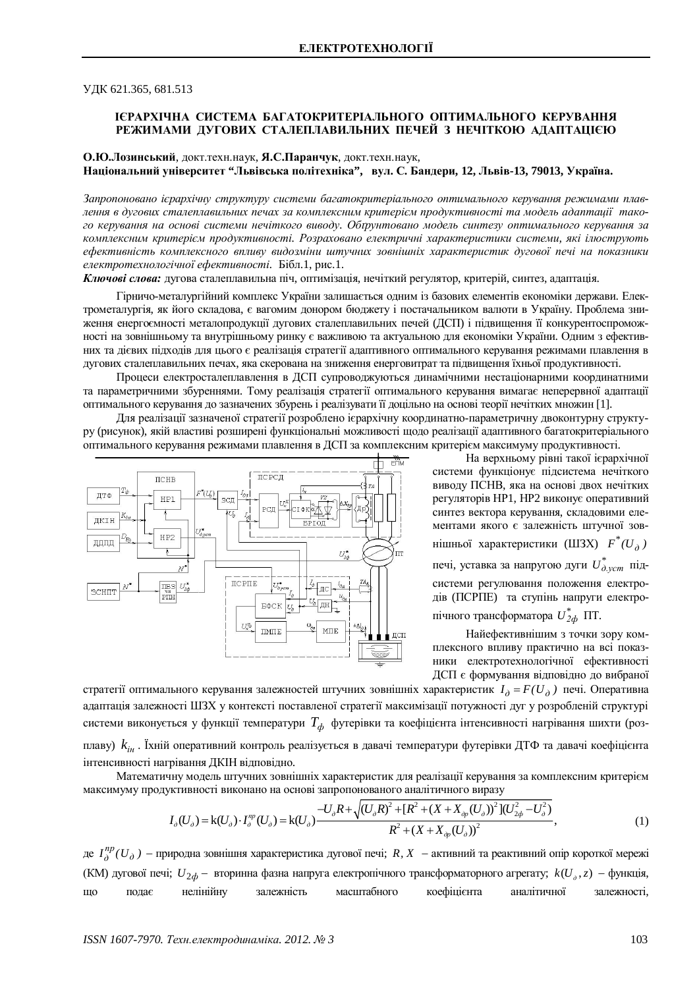ɍȾɄ 621.365, 681.513

# **IЄРАРХІЧНА СИСТЕМА БАГАТОКРИТЕРІАЛЬНОГО ОПТИМАЛЬНОГО КЕРУВАННЯ РЕЖИМАМИ ДУГОВИХ СТАЛЕПЛАВИЛЬНИХ ПЕЧЕЙ З НЕЧІТКОЮ АДАПТАЦІЄЮ**

О.Ю.Лозинський, докт.техн.наук, Я.С.Паранчук, докт.техн.наук, **ɇɚɰɿɨɧɚɥɶɧɢɣɭɧɿɜɟɪɫɢɬɟɬ "Ʌɶɜɿɜɫɶɤɚɩɨɥɿɬɟɯɧɿɤɚ", ɜɭɥ. ɋ. Ȼɚɧɞɟɪɢ, 12, Ʌɶɜɿɜ-13, 79013, ɍɤɪɚʀɧɚ.**

Запропоновано iєрархічну структуру системи багатокритеріального оптимального керування режимами плавлення в дугових сталеплавильних печах за комплексним критерієм продуктивності та модель адаптації такого керування на основі системи нечіткого виводу. Обтрунтовано модель синтезу оптимального керування за комплексним критерієм продуктивності. Розраховано електричні характеристики системи, які ілюструють *ефективність комплексного впливу видозміни штучних зовнішніх характеристик дугової печі на показники* електротехнологічної ефективності. Бібл.1, рис.1.

Ключові слова: дугова сталеплавильна піч, оптимізація, нечіткий регулятор, критерій, синтез, адаптація.

Гірничо-металургійний комплекс України залишається одним із базових елементів економіки держави. Електрометалургія, як його складова, є вагомим донором бюджету і постачальником валюти в Україну. Проблема зниження енергоємності металопродукції дугових сталеплавильних печей (ДСП) і підвищення її конкурентоспроможності на зовнішньому та внутрішньому ринку є важливою та актуальною для економіки України. Одним з ефективних та дієвих підходів для цього є реалізація стратегії адаптивного оптимального керування режимами плавлення в дугових сталеплавильних печах, яка скерована на зниження енерговитрат та підвищення їхньої продуктивності.

Процеси електросталеплавлення в ДСП супроводжуються динамічними нестаціонарними координатними та параметричними збуреннями. Тому реалізація стратегії оптимального керування вимагає неперервної адаптації оптимального керування до зазначених збурень і реалізувати її доцільно на основі теорії нечітких множин [1].

Для реалізації зазначеної стратегії розроблено ієрархічну координатно-параметричну двоконтурну структуру (рисунок), якій властиві розширені функціональні можливості щодо реалізації адаптивного багатокритеріального оптимального керування режимами плавлення в ДСП за комплексним критерієм максимуму продуктивності.



На верхньому рівні такої ієрархічної системи функціонує підсистема нечіткого виводу ПСНВ, яка на основі двох нечітких регуляторів HP1, HP2 виконує оперативний синтез вектора керування, складовими елементами якого є залежність штучної зовнішньої характеристики (ШЗХ)  $F^*(U_{\partial})$ печі, уставка за напругою дуги  $U^*_{\alpha, \nu cm}$  підсистеми регулювання положення електродів (ПСРПЕ) та ступінь напруги електропічного трансформатора  $U_{2d}^*$  ПТ.

Найефективнішим з точки зору комплексного впливу практично на всі показники електротехнологічної ефективності ДСП є формування відповідно до вибраної

стратегії оптимального керування залежностей штучних зовнішніх характеристик  $I_\partial = F(U_\partial$ ) печі. Оперативна адаптація залежності ШЗХ у контексті поставленої стратегії максимізації потужності дуг у розробленій структурі системи виконується у функції температури  $T_\phi$  футерівки та коефіцієнта інтенсивності нагрівання шихти (розплаву)  $k_{i_{H}}$ . Їхній оперативний контроль реалізується в давачі температури футерівки ДТФ та давачі коефіцієнта інтенсивності нагрівання ДКІН відповідно.

Математичну модель штучних зовнішніх характеристик для реалізації керування за комплексним критерієм максимуму продуктивності виконано на основі запропонованого аналітичного виразу

$$
I_{\partial}(U_{\partial}) = k(U_{\partial}) \cdot I_{\partial}^{np}(U_{\partial}) = k(U_{\partial}) \frac{-U_{\partial}R + \sqrt{(U_{\partial}R)^{2} + [R^{2} + (X + X_{\partial p}(U_{\partial}))^{2}](U_{2\phi}^{2} - U_{\partial}^{2})}}{R^{2} + (X + X_{\partial p}(U_{\partial}))^{2}},
$$
\n(1)

де  $I_{\partial}^{np}(U_{\partial})$  $a_0^{np}(U_{\partial}$ ) — природна зовнішня характеристика дугової печі; *R, X* — активний та реактивний опір короткої мережі (КМ) дугової печі;  $U_{2\phi}$  – вторинна фазна напруга електропічного трансформаторного агрегату;  $k(U_\phi, z)$  – функція, що подає нелінійну залежність масштабного коефіцієнта аналітичної залежності,